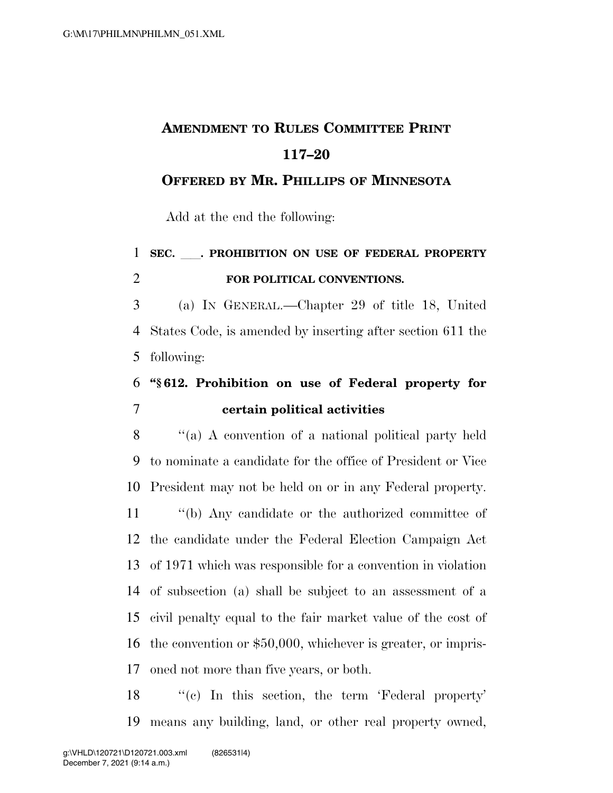# **AMENDMENT TO RULES COMMITTEE PRINT 117–20**

#### **OFFERED BY MR. PHILLIPS OF MINNESOTA**

Add at the end the following:

## **SEC.** ll**. PROHIBITION ON USE OF FEDERAL PROPERTY FOR POLITICAL CONVENTIONS.**

 (a) IN GENERAL.—Chapter 29 of title 18, United States Code, is amended by inserting after section 611 the following:

### **''§ 612. Prohibition on use of Federal property for certain political activities**

 ''(a) A convention of a national political party held to nominate a candidate for the office of President or Vice President may not be held on or in any Federal property. ''(b) Any candidate or the authorized committee of the candidate under the Federal Election Campaign Act of 1971 which was responsible for a convention in violation of subsection (a) shall be subject to an assessment of a civil penalty equal to the fair market value of the cost of the convention or \$50,000, whichever is greater, or impris-oned not more than five years, or both.

18 "(c) In this section, the term 'Federal property' means any building, land, or other real property owned,